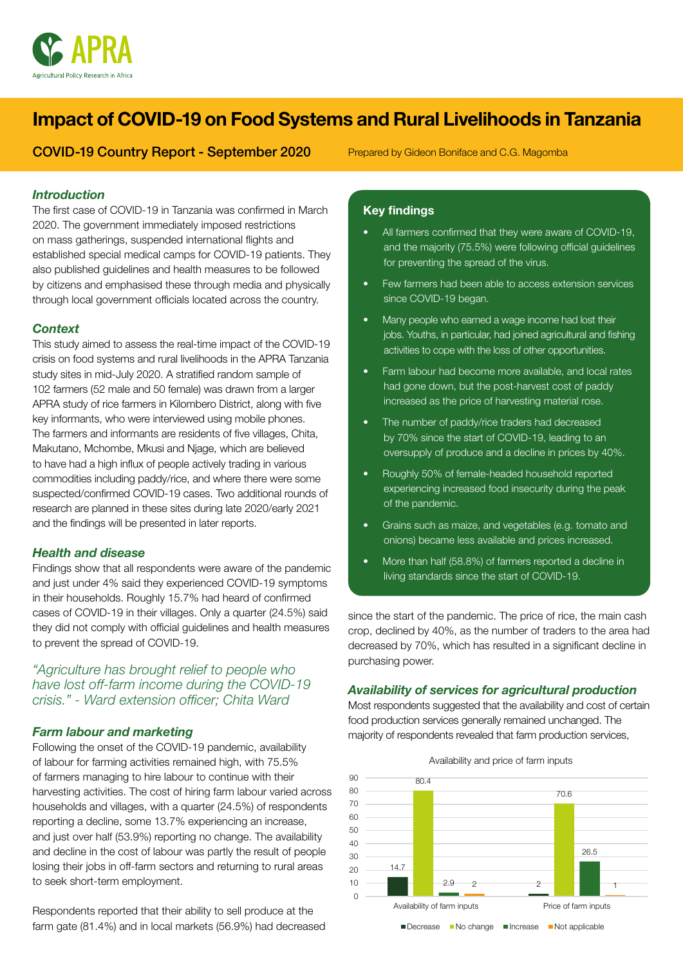

# Impact of COVID-19 on Food Systems and Rural Livelihoods in Tanzania

COVID-19 Country Report - September 2020

Prepared by Gideon Boniface and C.G. Magomba

## *Introduction*

The first case of COVID-19 in Tanzania was confirmed in March 2020. The government immediately imposed restrictions on mass gatherings, suspended international flights and established special medical camps for COVID-19 patients. They also published guidelines and health measures to be followed by citizens and emphasised these through media and physically through local government officials located across the country.

## *Context*

This study aimed to assess the real-time impact of the COVID-19 crisis on food systems and rural livelihoods in the APRA Tanzania study sites in mid-July 2020. A stratified random sample of 102 farmers (52 male and 50 female) was drawn from a larger APRA study of rice farmers in Kilombero District, along with five key informants, who were interviewed using mobile phones. The farmers and informants are residents of five villages, Chita, Makutano, Mchombe, Mkusi and Njage, which are believed to have had a high influx of people actively trading in various commodities including paddy/rice, and where there were some suspected/confirmed COVID-19 cases. Two additional rounds of research are planned in these sites during late 2020/early 2021 and the findings will be presented in later reports.

#### *Health and disease*

Findings show that all respondents were aware of the pandemic and just under 4% said they experienced COVID-19 symptoms in their households. Roughly 15.7% had heard of confirmed cases of COVID-19 in their villages. Only a quarter (24.5%) said they did not comply with official guidelines and health measures to prevent the spread of COVID-19.

# *"Agriculture has brought relief to people who have lost off-farm income during the COVID-19 crisis." - Ward extension officer; Chita Ward*

# *Farm labour and marketing*

Following the onset of the COVID-19 pandemic, availability of labour for farming activities remained high, with 75.5% of farmers managing to hire labour to continue with their harvesting activities. The cost of hiring farm labour varied across households and villages, with a quarter (24.5%) of respondents reporting a decline, some 13.7% experiencing an increase, and just over half (53.9%) reporting no change. The availability and decline in the cost of labour was partly the result of people losing their jobs in off-farm sectors and returning to rural areas to seek short-term employment.

Respondents reported that their ability to sell produce at the farm gate (81.4%) and in local markets (56.9%) had decreased

## Key findings

- All farmers confirmed that they were aware of COVID-19, and the majority (75.5%) were following official guidelines for preventing the spread of the virus.
- Few farmers had been able to access extension services since COVID-19 began.
- Many people who earned a wage income had lost their jobs. Youths, in particular, had joined agricultural and fishing activities to cope with the loss of other opportunities.
- Farm labour had become more available, and local rates had gone down, but the post-harvest cost of paddy increased as the price of harvesting material rose.
- The number of paddy/rice traders had decreased by 70% since the start of COVID-19, leading to an oversupply of produce and a decline in prices by 40%.
- Roughly 50% of female-headed household reported experiencing increased food insecurity during the peak of the pandemic.
- Grains such as maize, and vegetables (e.g. tomato and onions) became less available and prices increased.
- More than half (58.8%) of farmers reported a decline in living standards since the start of COVID-19.

since the start of the pandemic. The price of rice, the main cash crop, declined by 40%, as the number of traders to the area had decreased by 70%, which has resulted in a significant decline in purchasing power.

#### *Availability of services for agricultural production*

Most respondents suggested that the availability and cost of certain food production services generally remained unchanged. The majority of respondents revealed that farm production services,